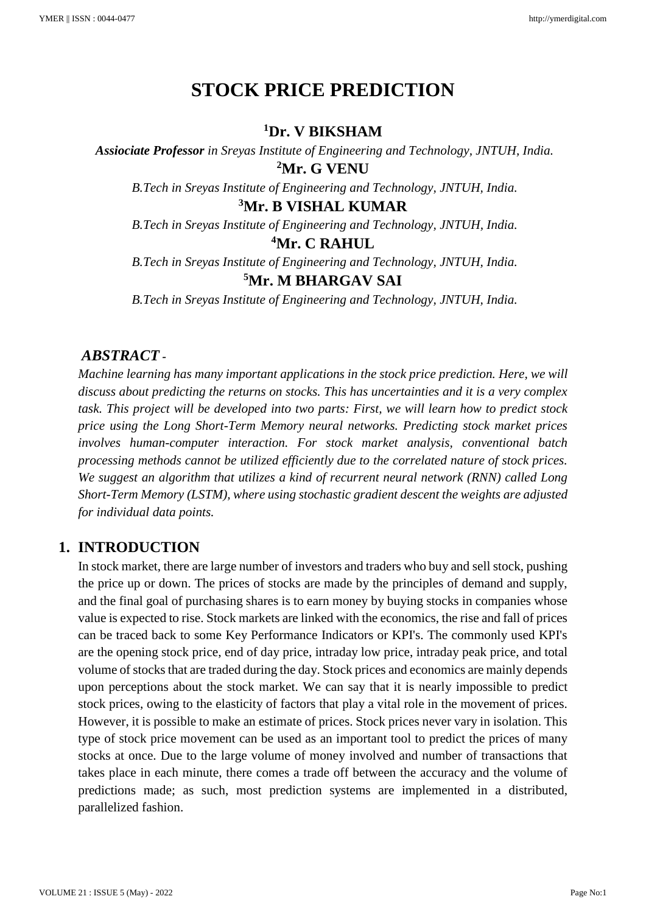# **STOCK PRICE PREDICTION**

#### **<sup>1</sup>Dr. V BIKSHAM**

*Assiociate Professor in Sreyas Institute of Engineering and Technology, JNTUH, India.* **<sup>2</sup>Mr. G VENU**

*B.Tech in Sreyas Institute of Engineering and Technology, JNTUH, India.*

# **<sup>3</sup>Mr. B VISHAL KUMAR**

*B.Tech in Sreyas Institute of Engineering and Technology, JNTUH, India.*

# **<sup>4</sup>Mr. C RAHUL**

*B.Tech in Sreyas Institute of Engineering and Technology, JNTUH, India.*

## **<sup>5</sup>Mr. M BHARGAV SAI**

*B.Tech in Sreyas Institute of Engineering and Technology, JNTUH, India.*

#### *ABSTRACT -*

*Machine learning has many important applications in the stock price prediction. Here, we will discuss about predicting the returns on stocks. This has uncertainties and it is a very complex task. This project will be developed into two parts: First, we will learn how to predict stock price using the Long Short-Term Memory neural networks. Predicting stock market prices involves human-computer interaction. For stock market analysis, conventional batch processing methods cannot be utilized efficiently due to the correlated nature of stock prices. We suggest an algorithm that utilizes a kind of recurrent neural network (RNN) called Long Short-Term Memory (LSTM), where using stochastic gradient descent the weights are adjusted for individual data points.* 

#### **1. INTRODUCTION**

In stock market, there are large number of investors and traders who buy and sell stock, pushing the price up or down. The prices of stocks are made by the principles of demand and supply, and the final goal of purchasing shares is to earn money by buying stocks in companies whose value is expected to rise. Stock markets are linked with the economics, the rise and fall of prices can be traced back to some Key Performance Indicators or KPI's. The commonly used KPI's are the opening stock price, end of day price, intraday low price, intraday peak price, and total volume of stocks that are traded during the day. Stock prices and economics are mainly depends upon perceptions about the stock market. We can say that it is nearly impossible to predict stock prices, owing to the elasticity of factors that play a vital role in the movement of prices. However, it is possible to make an estimate of prices. Stock prices never vary in isolation. This type of stock price movement can be used as an important tool to predict the prices of many stocks at once. Due to the large volume of money involved and number of transactions that takes place in each minute, there comes a trade off between the accuracy and the volume of predictions made; as such, most prediction systems are implemented in a distributed, parallelized fashion.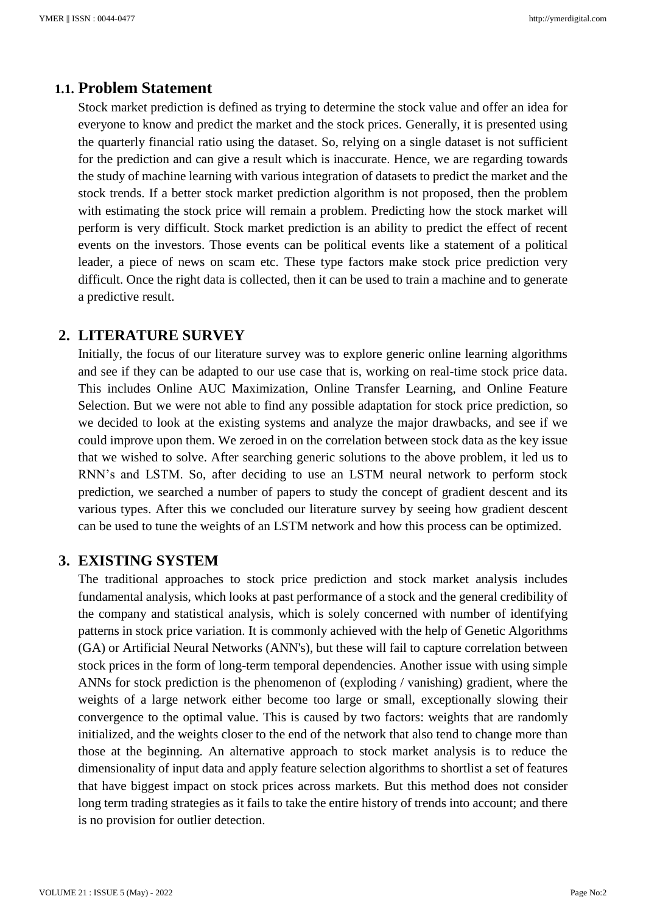# **1.1. Problem Statement**

Stock market prediction is defined as trying to determine the stock value and offer an idea for everyone to know and predict the market and the stock prices. Generally, it is presented using the quarterly financial ratio using the dataset. So, relying on a single dataset is not sufficient for the prediction and can give a result which is inaccurate. Hence, we are regarding towards the study of machine learning with various integration of datasets to predict the market and the stock trends. If a better stock market prediction algorithm is not proposed, then the problem with estimating the stock price will remain a problem. Predicting how the stock market will perform is very difficult. Stock market prediction is an ability to predict the effect of recent events on the investors. Those events can be political events like a statement of a political leader, a piece of news on scam etc. These type factors make stock price prediction very difficult. Once the right data is collected, then it can be used to train a machine and to generate a predictive result.

#### **2. LITERATURE SURVEY**

Initially, the focus of our literature survey was to explore generic online learning algorithms and see if they can be adapted to our use case that is, working on real-time stock price data. This includes Online AUC Maximization, Online Transfer Learning, and Online Feature Selection. But we were not able to find any possible adaptation for stock price prediction, so we decided to look at the existing systems and analyze the major drawbacks, and see if we could improve upon them. We zeroed in on the correlation between stock data as the key issue that we wished to solve. After searching generic solutions to the above problem, it led us to RNN's and LSTM. So, after deciding to use an LSTM neural network to perform stock prediction, we searched a number of papers to study the concept of gradient descent and its various types. After this we concluded our literature survey by seeing how gradient descent can be used to tune the weights of an LSTM network and how this process can be optimized.

#### **3. EXISTING SYSTEM**

The traditional approaches to stock price prediction and stock market analysis includes fundamental analysis, which looks at past performance of a stock and the general credibility of the company and statistical analysis, which is solely concerned with number of identifying patterns in stock price variation. It is commonly achieved with the help of Genetic Algorithms (GA) or Artificial Neural Networks (ANN's), but these will fail to capture correlation between stock prices in the form of long-term temporal dependencies. Another issue with using simple ANNs for stock prediction is the phenomenon of (exploding / vanishing) gradient, where the weights of a large network either become too large or small, exceptionally slowing their convergence to the optimal value. This is caused by two factors: weights that are randomly initialized, and the weights closer to the end of the network that also tend to change more than those at the beginning. An alternative approach to stock market analysis is to reduce the dimensionality of input data and apply feature selection algorithms to shortlist a set of features that have biggest impact on stock prices across markets. But this method does not consider long term trading strategies as it fails to take the entire history of trends into account; and there is no provision for outlier detection.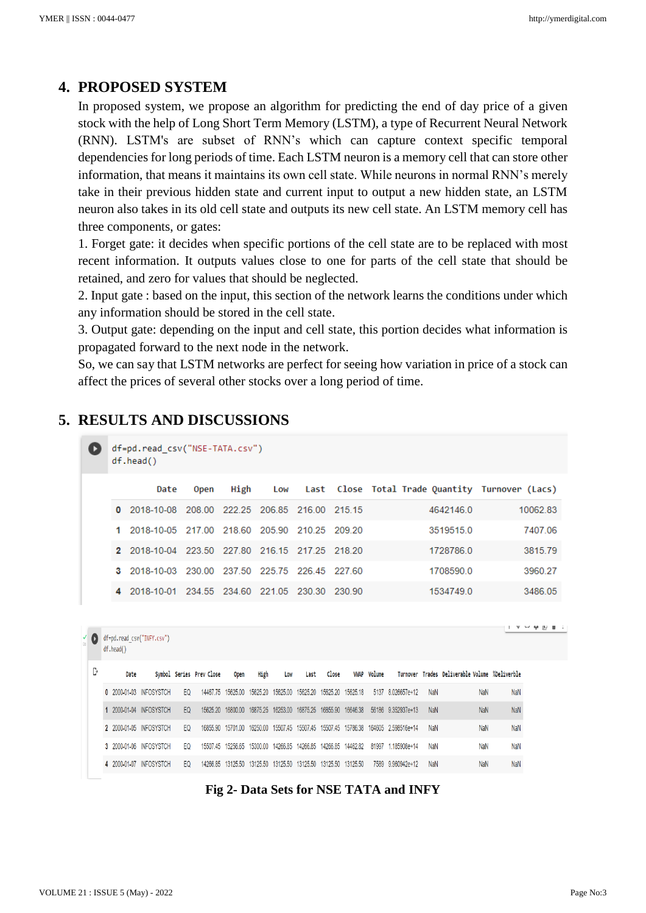## **4. PROPOSED SYSTEM**

In proposed system, we propose an algorithm for predicting the end of day price of a given stock with the help of Long Short Term Memory (LSTM), a type of Recurrent Neural Network (RNN). LSTM's are subset of RNN's which can capture context specific temporal dependencies for long periods of time. Each LSTM neuron is a memory cell that can store other information, that means it maintains its own cell state. While neurons in normal RNN's merely take in their previous hidden state and current input to output a new hidden state, an LSTM neuron also takes in its old cell state and outputs its new cell state. An LSTM memory cell has three components, or gates:

1. Forget gate: it decides when specific portions of the cell state are to be replaced with most recent information. It outputs values close to one for parts of the cell state that should be retained, and zero for values that should be neglected.

2. Input gate : based on the input, this section of the network learns the conditions under which any information should be stored in the cell state.

3. Output gate: depending on the input and cell state, this portion decides what information is propagated forward to the next node in the network.

So, we can say that LSTM networks are perfect for seeing how variation in price of a stock can affect the prices of several other stocks over a long period of time.

#### **5. RESULTS AND DISCUSSIONS**

|  | df=pd.read csv("NSE-TATA.csv")<br>$df.\text{head()}$       |             |      |     |  |  |                                                 |          |  |  |  |  |  |
|--|------------------------------------------------------------|-------------|------|-----|--|--|-------------------------------------------------|----------|--|--|--|--|--|
|  | Date                                                       | <b>Open</b> | High | Low |  |  | Last Close Total Trade Quantity Turnover (Lacs) |          |  |  |  |  |  |
|  | 0 2018-10-08 208 00 222 25 206 85 216 00 215 15            |             |      |     |  |  | 4642146.0                                       | 10062.83 |  |  |  |  |  |
|  | 2018-10-05 217 00 218 60 205 90 210 25 209 20              |             |      |     |  |  | 3519515.0                                       | 7407.06  |  |  |  |  |  |
|  | 2  2018-10-04  223  50  227  80  216  15  217  25  218  20 |             |      |     |  |  | 1728786.0                                       | 3815.79  |  |  |  |  |  |
|  |                                                            |             |      |     |  |  | 1708590.0                                       | 3960.27  |  |  |  |  |  |
|  | 4 2018-10-01 234.55 234.60 221.05 230.30 230.90            |             |      |     |  |  | 1534749.0                                       | 3486.05  |  |  |  |  |  |
|  |                                                            |             |      |     |  |  |                                                 |          |  |  |  |  |  |

| YD | df.head() | df=pd.read_csv("INFY.csv") |                |                          |          |      |                                                            |      |                    |                   |                                                                                  |            |                                                |            |
|----|-----------|----------------------------|----------------|--------------------------|----------|------|------------------------------------------------------------|------|--------------------|-------------------|----------------------------------------------------------------------------------|------------|------------------------------------------------|------------|
| Ŀ  | Date      |                            |                | Symbol Series Prev Close | Open     | High | Low                                                        | Last | Close              | <b>WAP Volume</b> |                                                                                  |            | Turnover Trades Deliverable Volume %Deliverble |            |
|    |           | 0 2000-01-03 INFOSYSTCH    | F <sub>0</sub> | 14467 75                 |          |      | 15625.00  15625.20  15625.00  15625.20  15625.20  15625.18 |      |                    |                   | 5137 8.026657e+12                                                                | NaN        | NaN                                            | <b>NaN</b> |
|    |           | 2000-01-04 INFOSYSTCH      | EQ             | 15625.20                 |          |      | 16800.00  16875.25  16253.00  16875.25                     |      | 16855.90 16646.38  |                   | 56186 9.352937e+13                                                               | <b>NaN</b> | NaN                                            | <b>NaN</b> |
|    |           | 2 2000-01-05 INFOSYSTCH    | EQ.            | 16855.90                 |          |      |                                                            |      |                    |                   | 15701.00  16250.00  15507.45  15507.45  15507.45  15786.38  164605  2.598516e+14 | NaN        | <b>NaN</b>                                     | <b>NaN</b> |
|    |           | 3 2000-01-06 INFOSYSTCH    | EQ.            | 1550745                  | 15256.65 |      | 15300.00  14266.85  14266.85                               |      | 14266.85  14462.82 | 81997             | 1185908e+14                                                                      | <b>NaN</b> | NaN                                            | <b>NaN</b> |
|    |           | 4 2000-01-07 INFOSYSTCH    | EQ.            | 14266.85                 |          |      | 13125.50 13125.50 13125.50 13125.50 13125.50 13125.50      |      |                    |                   | 7589 9.960942e+12                                                                | NaN        | NaN                                            | <b>NaN</b> |
|    |           |                            |                |                          |          |      |                                                            |      |                    |                   |                                                                                  |            |                                                |            |

**Fig 2- Data Sets for NSE TATA and INFY**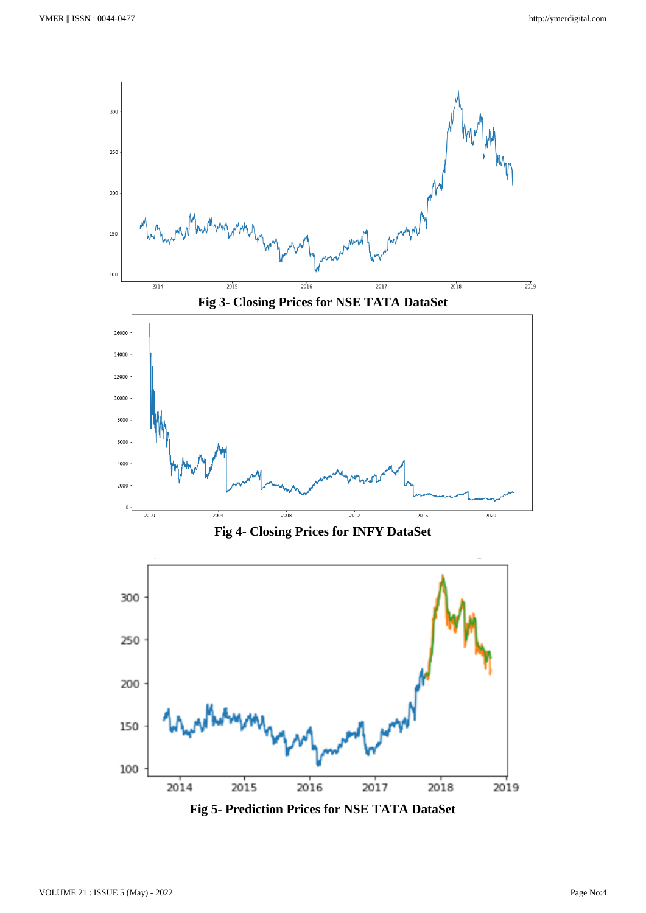

**Fig 5- Prediction Prices for NSE TATA DataSet**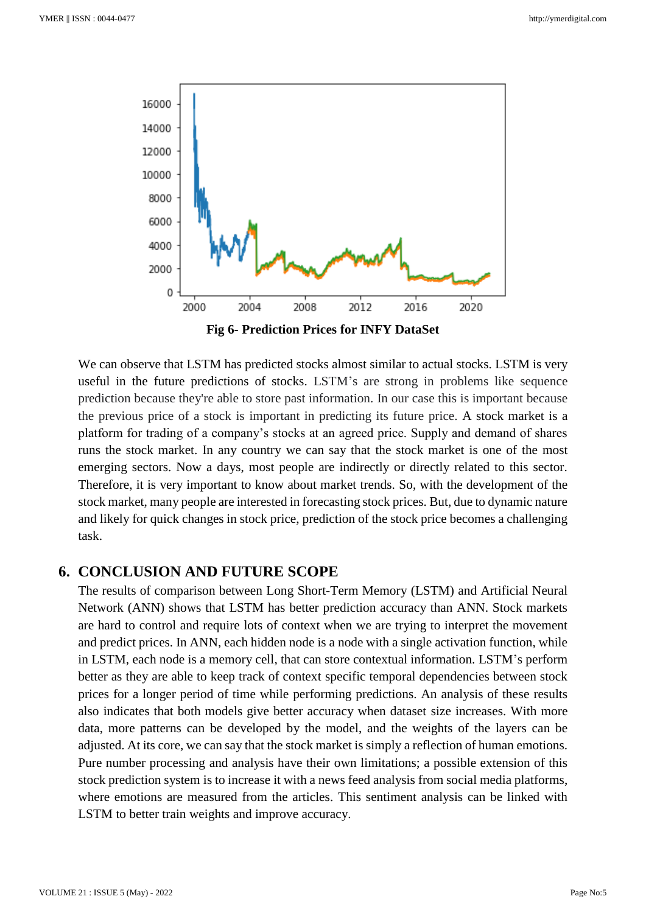

We can observe that LSTM has predicted stocks almost similar to actual stocks. LSTM is very useful in the future predictions of stocks. LSTM's are strong in problems like sequence prediction because they're able to store past information. In our case this is important because the previous price of a stock is important in predicting its future price. A stock market is a platform for trading of a company's stocks at an agreed price. Supply and demand of shares runs the stock market. In any country we can say that the stock market is one of the most emerging sectors. Now a days, most people are indirectly or directly related to this sector. Therefore, it is very important to know about market trends. So, with the development of the stock market, many people are interested in forecasting stock prices. But, due to dynamic nature and likely for quick changes in stock price, prediction of the stock price becomes a challenging task.

#### **6. CONCLUSION AND FUTURE SCOPE**

The results of comparison between Long Short-Term Memory (LSTM) and Artificial Neural Network (ANN) shows that LSTM has better prediction accuracy than ANN. Stock markets are hard to control and require lots of context when we are trying to interpret the movement and predict prices. In ANN, each hidden node is a node with a single activation function, while in LSTM, each node is a memory cell, that can store contextual information. LSTM's perform better as they are able to keep track of context specific temporal dependencies between stock prices for a longer period of time while performing predictions. An analysis of these results also indicates that both models give better accuracy when dataset size increases. With more data, more patterns can be developed by the model, and the weights of the layers can be adjusted. At its core, we can say that the stock market is simply a reflection of human emotions. Pure number processing and analysis have their own limitations; a possible extension of this stock prediction system is to increase it with a news feed analysis from social media platforms, where emotions are measured from the articles. This sentiment analysis can be linked with LSTM to better train weights and improve accuracy.